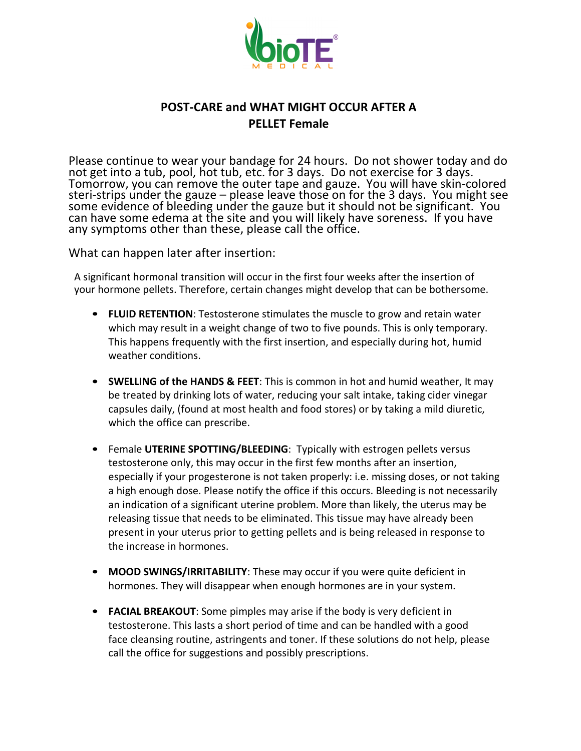

## **POST-CARE and WHAT MIGHT OCCUR AFTER A PELLET Female**

Please continue to wear your bandage for 24 hours. Do not shower today and do not get into a tub, pool, hot tub, etc. for 3 days. Do not exercise for 3 days. Tomorrow, you can remove the outer tape and gauze. You will have skin-colored steri-strips under the gauze – please leave those on for the 3 days. You might see some evidence of bleeding under the gauze but it should not be significant. You can have some edema at the site and you will likely have soreness. If you have any symptoms other than these, please call the office.

What can happen later after insertion:

A significant hormonal transition will occur in the first four weeks after the insertion of your hormone pellets. Therefore, certain changes might develop that can be bothersome.

- **FLUID RETENTION**: Testosterone stimulates the muscle to grow and retain water which may result in a weight change of two to five pounds. This is only temporary. This happens frequently with the first insertion, and especially during hot, humid weather conditions.
- **SWELLING of the HANDS & FEET:** This is common in hot and humid weather, It may be treated by drinking lots of water, reducing your salt intake, taking cider vinegar capsules daily, (found at most health and food stores) or by taking a mild diuretic, which the office can prescribe.
- Female UTERINE SPOTTING/BLEEDING: Typically with estrogen pellets versus testosterone only, this may occur in the first few months after an insertion, especially if your progesterone is not taken properly: i.e. missing doses, or not taking a high enough dose. Please notify the office if this occurs. Bleeding is not necessarily an indication of a significant uterine problem. More than likely, the uterus may be releasing tissue that needs to be eliminated. This tissue may have already been present in your uterus prior to getting pellets and is being released in response to the increase in hormones.
- **MOOD SWINGS/IRRITABILITY:** These may occur if you were quite deficient in hormones. They will disappear when enough hormones are in your system.
- **FACIAL BREAKOUT**: Some pimples may arise if the body is very deficient in testosterone. This lasts a short period of time and can be handled with a good face cleansing routine, astringents and toner. If these solutions do not help, please call the office for suggestions and possibly prescriptions.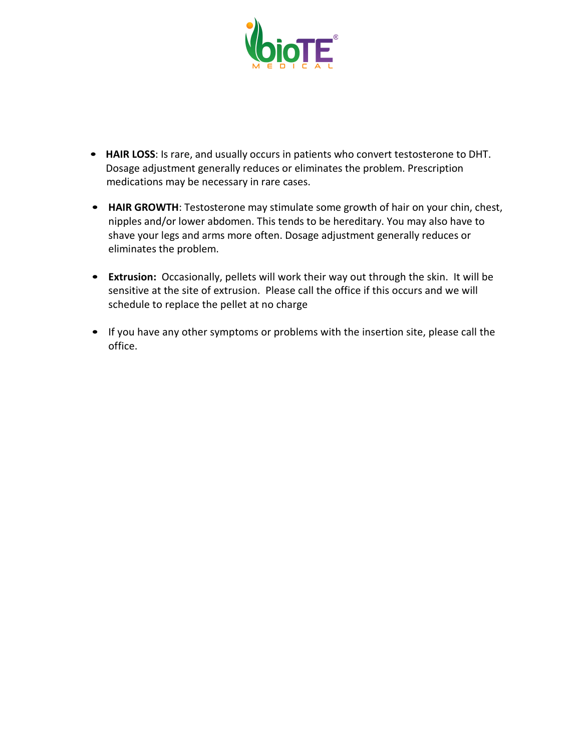

- HAIR LOSS: Is rare, and usually occurs in patients who convert testosterone to DHT. Dosage adjustment generally reduces or eliminates the problem. Prescription medications may be necessary in rare cases.
- HAIR GROWTH: Testosterone may stimulate some growth of hair on your chin, chest, nipples and/or lower abdomen. This tends to be hereditary. You may also have to shave your legs and arms more often. Dosage adjustment generally reduces or eliminates the problem.
- Extrusion: Occasionally, pellets will work their way out through the skin. It will be sensitive at the site of extrusion. Please call the office if this occurs and we will schedule to replace the pellet at no charge
- If you have any other symptoms or problems with the insertion site, please call the office.